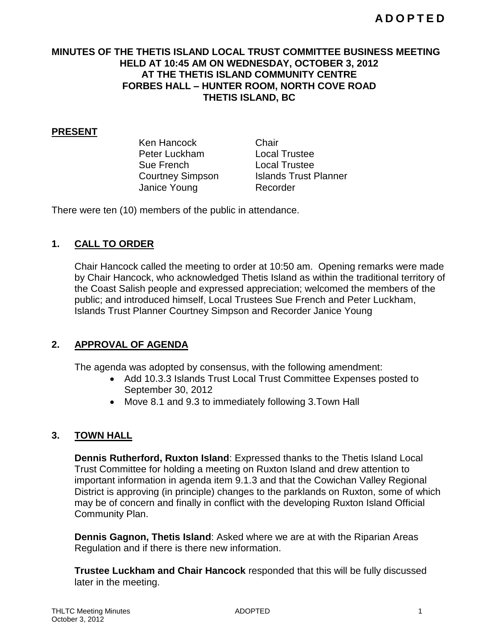### **MINUTES OF THE THETIS ISLAND LOCAL TRUST COMMITTEE BUSINESS MEETING HELD AT 10:45 AM ON WEDNESDAY, OCTOBER 3, 2012 AT THE THETIS ISLAND COMMUNITY CENTRE FORBES HALL – HUNTER ROOM, NORTH COVE ROAD THETIS ISLAND, BC**

#### **PRESENT**

Ken Hancock Chair Peter Luckham Local Trustee Sue French Local Trustee Janice Young Recorder

Courtney Simpson Islands Trust Planner

There were ten (10) members of the public in attendance.

### **1. CALL TO ORDER**

Chair Hancock called the meeting to order at 10:50 am. Opening remarks were made by Chair Hancock, who acknowledged Thetis Island as within the traditional territory of the Coast Salish people and expressed appreciation; welcomed the members of the public; and introduced himself, Local Trustees Sue French and Peter Luckham, Islands Trust Planner Courtney Simpson and Recorder Janice Young

## **2. APPROVAL OF AGENDA**

The agenda was adopted by consensus, with the following amendment:

- Add 10.3.3 Islands Trust Local Trust Committee Expenses posted to September 30, 2012
- Move 8.1 and 9.3 to immediately following 3.Town Hall

### **3. TOWN HALL**

**Dennis Rutherford, Ruxton Island**: Expressed thanks to the Thetis Island Local Trust Committee for holding a meeting on Ruxton Island and drew attention to important information in agenda item 9.1.3 and that the Cowichan Valley Regional District is approving (in principle) changes to the parklands on Ruxton, some of which may be of concern and finally in conflict with the developing Ruxton Island Official Community Plan.

**Dennis Gagnon, Thetis Island**: Asked where we are at with the Riparian Areas Regulation and if there is there new information.

**Trustee Luckham and Chair Hancock** responded that this will be fully discussed later in the meeting.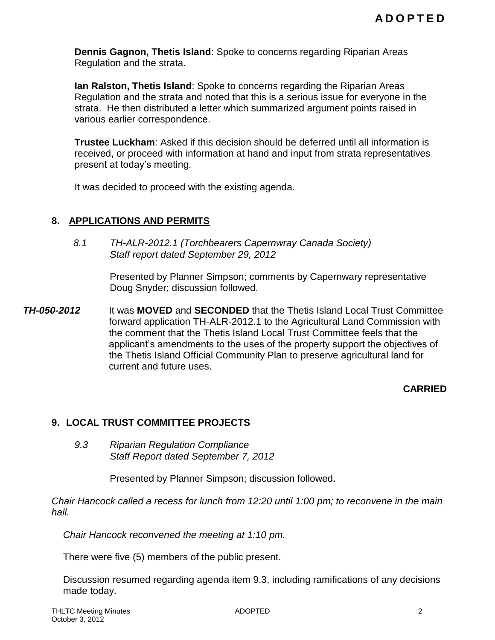**Dennis Gagnon, Thetis Island**: Spoke to concerns regarding Riparian Areas Regulation and the strata.

**Ian Ralston, Thetis Island**: Spoke to concerns regarding the Riparian Areas Regulation and the strata and noted that this is a serious issue for everyone in the strata. He then distributed a letter which summarized argument points raised in various earlier correspondence.

**Trustee Luckham**: Asked if this decision should be deferred until all information is received, or proceed with information at hand and input from strata representatives present at today's meeting.

It was decided to proceed with the existing agenda.

### **8. APPLICATIONS AND PERMITS**

*8.1 TH-ALR-2012.1 (Torchbearers Capernwray Canada Society) Staff report dated September 29, 2012*

> Presented by Planner Simpson; comments by Capernwary representative Doug Snyder; discussion followed.

*TH-050-2012* It was **MOVED** and **SECONDED** that the Thetis Island Local Trust Committee forward application TH-ALR-2012.1 to the Agricultural Land Commission with the comment that the Thetis Island Local Trust Committee feels that the applicant's amendments to the uses of the property support the objectives of the Thetis Island Official Community Plan to preserve agricultural land for current and future uses.

## **CARRIED**

### **9. LOCAL TRUST COMMITTEE PROJECTS**

*9.3 Riparian Regulation Compliance Staff Report dated September 7, 2012*

Presented by Planner Simpson; discussion followed.

*Chair Hancock called a recess for lunch from 12:20 until 1:00 pm; to reconvene in the main hall.*

*Chair Hancock reconvened the meeting at 1:10 pm.*

There were five (5) members of the public present.

Discussion resumed regarding agenda item 9.3, including ramifications of any decisions made today.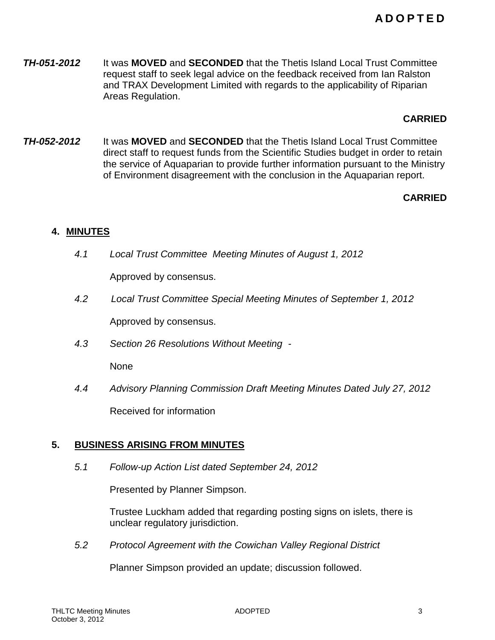**TH-051-2012** It was **MOVED** and **SECONDED** that the Thetis Island Local Trust Committee request staff to seek legal advice on the feedback received from Ian Ralston and TRAX Development Limited with regards to the applicability of Riparian Areas Regulation.

### **CARRIED**

*TH-052-2012* It was **MOVED** and **SECONDED** that the Thetis Island Local Trust Committee direct staff to request funds from the Scientific Studies budget in order to retain the service of Aquaparian to provide further information pursuant to the Ministry of Environment disagreement with the conclusion in the Aquaparian report.

### **CARRIED**

### **4. MINUTES**

*4.1 Local Trust Committee Meeting Minutes of August 1, 2012*

Approved by consensus.

*4.2 Local Trust Committee Special Meeting Minutes of September 1, 2012*

Approved by consensus.

*4.3 Section 26 Resolutions Without Meeting -*

None

*4.4 Advisory Planning Commission Draft Meeting Minutes Dated July 27, 2012* Received for information

## **5. BUSINESS ARISING FROM MINUTES**

*5.1 Follow-up Action List dated September 24, 2012*

Presented by Planner Simpson.

Trustee Luckham added that regarding posting signs on islets, there is unclear regulatory jurisdiction.

*5.2 Protocol Agreement with the Cowichan Valley Regional District*

Planner Simpson provided an update; discussion followed.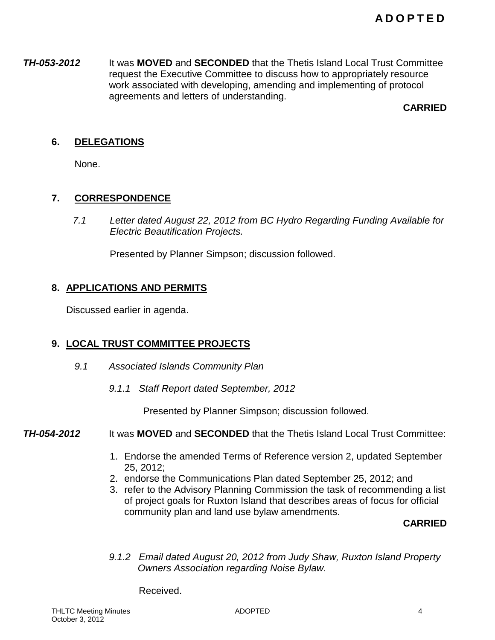*TH-053-2012* It was **MOVED** and **SECONDED** that the Thetis Island Local Trust Committee request the Executive Committee to discuss how to appropriately resource work associated with developing, amending and implementing of protocol agreements and letters of understanding.

**CARRIED**

## **6. DELEGATIONS**

None.

### **7. CORRESPONDENCE**

*7.1 Letter dated August 22, 2012 from BC Hydro Regarding Funding Available for Electric Beautification Projects.*

Presented by Planner Simpson; discussion followed.

### **8. APPLICATIONS AND PERMITS**

Discussed earlier in agenda.

## **9. LOCAL TRUST COMMITTEE PROJECTS**

- *9.1 Associated Islands Community Plan*
	- *9.1.1 Staff Report dated September, 2012*

Presented by Planner Simpson; discussion followed.

### *TH-054-2012* It was **MOVED** and **SECONDED** that the Thetis Island Local Trust Committee:

- 1. Endorse the amended Terms of Reference version 2, updated September 25, 2012;
- 2. endorse the Communications Plan dated September 25, 2012; and
- 3. refer to the Advisory Planning Commission the task of recommending a list of project goals for Ruxton Island that describes areas of focus for official community plan and land use bylaw amendments.

**CARRIED**

*9.1.2 Email dated August 20, 2012 from Judy Shaw, Ruxton Island Property Owners Association regarding Noise Bylaw.*

Received.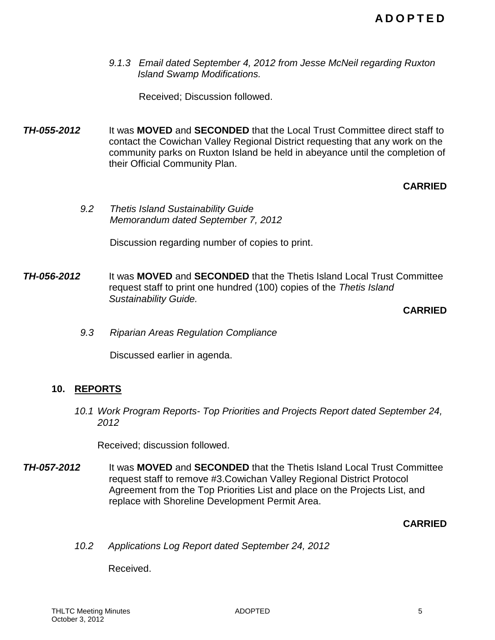*9.1.3 Email dated September 4, 2012 from Jesse McNeil regarding Ruxton Island Swamp Modifications.*

Received; Discussion followed.

*TH-055-2012* It was **MOVED** and **SECONDED** that the Local Trust Committee direct staff to contact the Cowichan Valley Regional District requesting that any work on the community parks on Ruxton Island be held in abeyance until the completion of their Official Community Plan.

## **CARRIED**

*9.2 Thetis Island Sustainability Guide Memorandum dated September 7, 2012*

Discussion regarding number of copies to print.

*TH-056-2012* It was **MOVED** and **SECONDED** that the Thetis Island Local Trust Committee request staff to print one hundred (100) copies of the *Thetis Island Sustainability Guide.*

**CARRIED**

*9.3 Riparian Areas Regulation Compliance*

Discussed earlier in agenda.

## **10. REPORTS**

*10.1 Work Program Reports- Top Priorities and Projects Report dated September 24, 2012*

Received; discussion followed.

*TH-057-2012* It was **MOVED** and **SECONDED** that the Thetis Island Local Trust Committee request staff to remove #3.Cowichan Valley Regional District Protocol Agreement from the Top Priorities List and place on the Projects List, and replace with Shoreline Development Permit Area.

### **CARRIED**

*10.2 Applications Log Report dated September 24, 2012*

Received.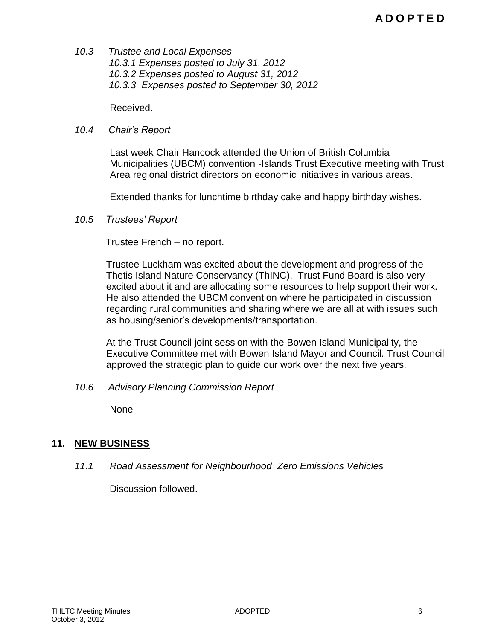*10.3 Trustee and Local Expenses 10.3.1 Expenses posted to July 31, 2012 10.3.2 Expenses posted to August 31, 2012 10.3.3 Expenses posted to September 30, 2012*

Received.

#### *10.4 Chair's Report*

Last week Chair Hancock attended the Union of British Columbia Municipalities (UBCM) convention -Islands Trust Executive meeting with Trust Area regional district directors on economic initiatives in various areas.

Extended thanks for lunchtime birthday cake and happy birthday wishes.

*10.5 Trustees' Report* 

Trustee French – no report.

Trustee Luckham was excited about the development and progress of the Thetis Island Nature Conservancy (ThINC). Trust Fund Board is also very excited about it and are allocating some resources to help support their work. He also attended the UBCM convention where he participated in discussion regarding rural communities and sharing where we are all at with issues such as housing/senior's developments/transportation.

At the Trust Council joint session with the Bowen Island Municipality, the Executive Committee met with Bowen Island Mayor and Council. Trust Council approved the strategic plan to guide our work over the next five years.

*10.6 Advisory Planning Commission Report* 

None

## **11. NEW BUSINESS**

*11.1 Road Assessment for Neighbourhood Zero Emissions Vehicles*

Discussion followed.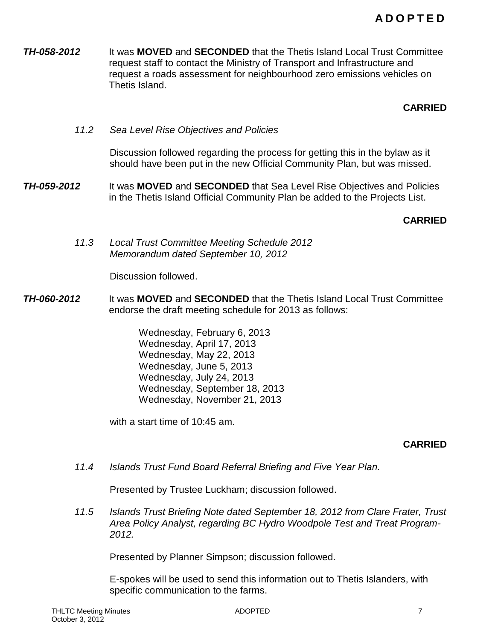*TH-058-2012* It was **MOVED** and **SECONDED** that the Thetis Island Local Trust Committee request staff to contact the Ministry of Transport and Infrastructure and request a roads assessment for neighbourhood zero emissions vehicles on Thetis Island.

### **CARRIED**

*11.2 Sea Level Rise Objectives and Policies*

Discussion followed regarding the process for getting this in the bylaw as it should have been put in the new Official Community Plan, but was missed.

*TH-059-2012* It was **MOVED** and **SECONDED** that Sea Level Rise Objectives and Policies in the Thetis Island Official Community Plan be added to the Projects List.

### **CARRIED**

*11.3 Local Trust Committee Meeting Schedule 2012 Memorandum dated September 10, 2012*

Discussion followed.

- *TH-060-2012* It was **MOVED** and **SECONDED** that the Thetis Island Local Trust Committee endorse the draft meeting schedule for 2013 as follows:
	- Wednesday, February 6, 2013 Wednesday, April 17, 2013 Wednesday, May 22, 2013 Wednesday, June 5, 2013 Wednesday, July 24, 2013 Wednesday, September 18, 2013 Wednesday, November 21, 2013

with a start time of 10:45 am.

### **CARRIED**

*11.4 Islands Trust Fund Board Referral Briefing and Five Year Plan.*

Presented by Trustee Luckham; discussion followed.

*11.5 Islands Trust Briefing Note dated September 18, 2012 from Clare Frater, Trust Area Policy Analyst, regarding BC Hydro Woodpole Test and Treat Program-2012.*

Presented by Planner Simpson; discussion followed.

E-spokes will be used to send this information out to Thetis Islanders, with specific communication to the farms.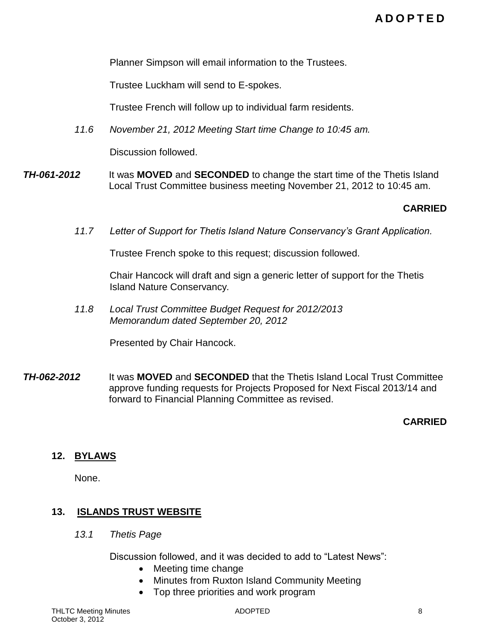Planner Simpson will email information to the Trustees.

Trustee Luckham will send to E-spokes.

Trustee French will follow up to individual farm residents.

*11.6 November 21, 2012 Meeting Start time Change to 10:45 am.*

Discussion followed.

*TH-061-2012* It was **MOVED** and **SECONDED** to change the start time of the Thetis Island Local Trust Committee business meeting November 21, 2012 to 10:45 am.

### **CARRIED**

*11.7 Letter of Support for Thetis Island Nature Conservancy's Grant Application.*

Trustee French spoke to this request; discussion followed.

Chair Hancock will draft and sign a generic letter of support for the Thetis Island Nature Conservancy*.*

*11.8 Local Trust Committee Budget Request for 2012/2013 Memorandum dated September 20, 2012*

Presented by Chair Hancock.

*TH-062-2012* It was **MOVED** and **SECONDED** that the Thetis Island Local Trust Committee approve funding requests for Projects Proposed for Next Fiscal 2013/14 and forward to Financial Planning Committee as revised.

### **CARRIED**

#### **12. BYLAWS**

None.

### **13. ISLANDS TRUST WEBSITE**

*13.1 Thetis Page*

Discussion followed, and it was decided to add to "Latest News":

- Meeting time change
- Minutes from Ruxton Island Community Meeting
- Top three priorities and work program